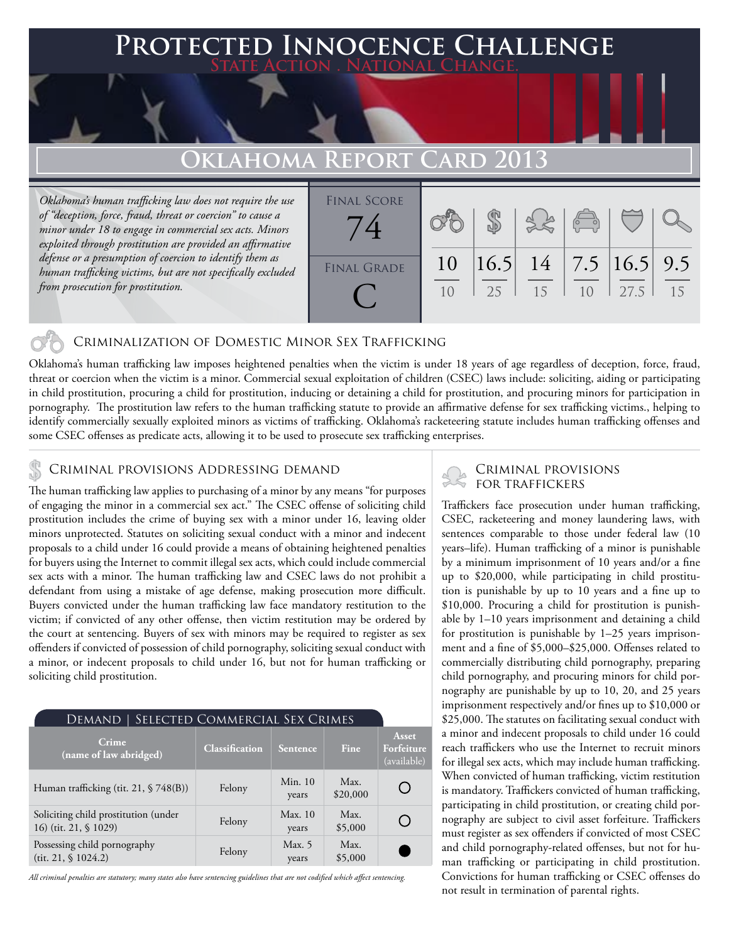## **FED INNOCENCE CHALLENGE State Action . National Change.**

## **Oklahoma Report Card 2013**

*Oklahoma's human trafficking law does not require the use of "deception, force, fraud, threat or coercion" to cause a minor under 18 to engage in commercial sex acts. Minors exploited through prostitution are provided an affirmative defense or a presumption of coercion to identify them as human trafficking victims, but are not specifically excluded from prosecution for prostitution.*

| <b>FINAL SCORE</b> |                |    |                                | $\begin{pmatrix} 0 & 0 \\ 0 & 0 \end{pmatrix}$ |      |    |
|--------------------|----------------|----|--------------------------------|------------------------------------------------|------|----|
| <b>FINAL GRADE</b> | 10             |    | $ 16.5 $ 14   7.5 $ 16.5 $ 9.5 |                                                |      |    |
|                    | 1 <sub>0</sub> | 25 | 15                             | 1 <sub>0</sub>                                 | 27.5 | 15 |

### Criminalization of Domestic Minor Sex Trafficking

Oklahoma's human trafficking law imposes heightened penalties when the victim is under 18 years of age regardless of deception, force, fraud, threat or coercion when the victim is a minor. Commercial sexual exploitation of children (CSEC) laws include: soliciting, aiding or participating in child prostitution, procuring a child for prostitution, inducing or detaining a child for prostitution, and procuring minors for participation in pornography. The prostitution law refers to the human trafficking statute to provide an affirmative defense for sex trafficking victims., helping to identify commercially sexually exploited minors as victims of trafficking. Oklahoma's racketeering statute includes human trafficking offenses and some CSEC offenses as predicate acts, allowing it to be used to prosecute sex trafficking enterprises.

# CRIMINAL PROVISIONS ADDRESSING DEMAND<br>FOR TRAFFICKERS

The human trafficking law applies to purchasing of a minor by any means "for purposes of engaging the minor in a commercial sex act." The CSEC offense of soliciting child prostitution includes the crime of buying sex with a minor under 16, leaving older minors unprotected. Statutes on soliciting sexual conduct with a minor and indecent proposals to a child under 16 could provide a means of obtaining heightened penalties for buyers using the Internet to commit illegal sex acts, which could include commercial sex acts with a minor. The human trafficking law and CSEC laws do not prohibit a defendant from using a mistake of age defense, making prosecution more difficult. Buyers convicted under the human trafficking law face mandatory restitution to the victim; if convicted of any other offense, then victim restitution may be ordered by the court at sentencing. Buyers of sex with minors may be required to register as sex offenders if convicted of possession of child pornography, soliciting sexual conduct with a minor, or indecent proposals to child under 16, but not for human trafficking or soliciting child prostitution.

| SELECTED COMMERCIAL SEX CRIMES<br>Demand                      |                       |                    |                  |                                    |  |  |  |
|---------------------------------------------------------------|-----------------------|--------------------|------------------|------------------------------------|--|--|--|
| Crime<br>(name of law abridged)                               | <b>Classification</b> | <b>Sentence</b>    | Fine             | Asset<br>Forfeiture<br>(available) |  |  |  |
| Human trafficking (tit. 21, § 748(B))                         | Felony                | Min. $10$<br>years | Max.<br>\$20,000 |                                    |  |  |  |
| Soliciting child prostitution (under<br>16) (tit. 21, § 1029) | Felony                | Max.10<br>years    | Max.<br>\$5,000  |                                    |  |  |  |
| Possessing child pornography<br>(tit. 21, \$1024.2)           | Felony                | Max. 5<br>years    | Max.<br>\$5,000  |                                    |  |  |  |

*All criminal penalties are statutory; many states also have sentencing guidelines that are not codified which affect sentencing.* 

# Criminal provisions

Traffickers face prosecution under human trafficking, CSEC, racketeering and money laundering laws, with sentences comparable to those under federal law (10 years–life). Human trafficking of a minor is punishable by a minimum imprisonment of 10 years and/or a fine up to \$20,000, while participating in child prostitution is punishable by up to 10 years and a fine up to \$10,000. Procuring a child for prostitution is punishable by 1–10 years imprisonment and detaining a child for prostitution is punishable by 1–25 years imprisonment and a fine of \$5,000–\$25,000. Offenses related to commercially distributing child pornography, preparing child pornography, and procuring minors for child pornography are punishable by up to 10, 20, and 25 years imprisonment respectively and/or fines up to \$10,000 or \$25,000. The statutes on facilitating sexual conduct with a minor and indecent proposals to child under 16 could reach traffickers who use the Internet to recruit minors for illegal sex acts, which may include human trafficking. When convicted of human trafficking, victim restitution is mandatory. Traffickers convicted of human trafficking, participating in child prostitution, or creating child pornography are subject to civil asset forfeiture. Traffickers must register as sex offenders if convicted of most CSEC and child pornography-related offenses, but not for human trafficking or participating in child prostitution. Convictions for human trafficking or CSEC offenses do not result in termination of parental rights.